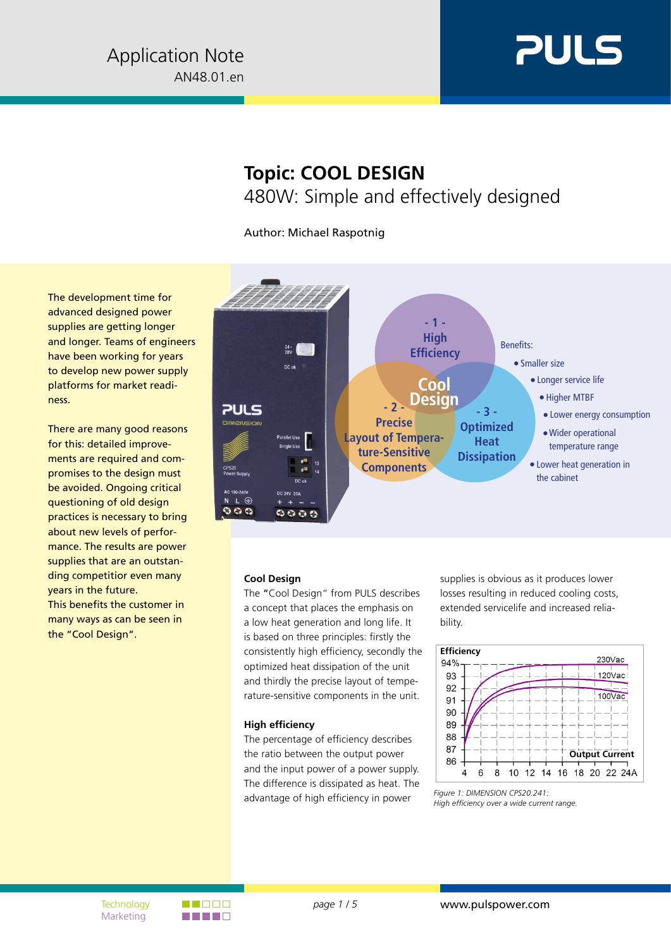

# **Topic: COOL DESIGN** 480W: Simple and effectively designed

Author: Michael Raspotnig

The development time for advanced designed power supplies are getting longer and longer. Teams of engineers have been working for years to develop new power supply platforms for market readiness.

There are many good reasons for this: detailed improvements are required and compromises to the design must be avoided. Ongoing critical questioning of old design practices is necessary to bring about new levels of performance. The results are power supplies that are an outstanding competitior even many years in the future. This benefits the customer in many ways as can be seen in the "Cool Design".



## **Cool Design**

The "Cool Design" from PULS describes a concept that places the emphasis on a low heat generation and long life. It is based on three principles: firstly the consistently high efficiency, secondly the optimized heat dissipation of the unit and thirdly the precise layout of temperature-sensitive components in the unit.

#### **High efficiency**

The percentage of efficiency describes the ratio between the output power and the input power of a power supply. The difference is dissipated as heat. The advantage of high efficiency in power

supplies is obvious as it produces lower losses resulting in reduced cooling costs, extended servicelife and increased reliability.



*Figure 1: DIMENSION CPS20.241: High efficiency over a wide current range.*

Marketing

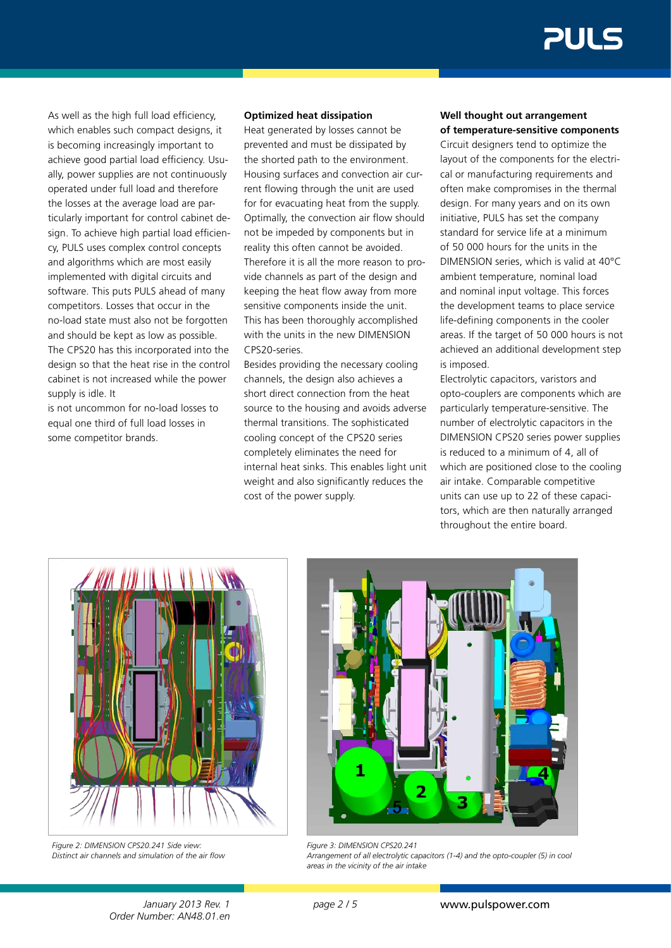As well as the high full load efficiency, which enables such compact designs, it is becoming increasingly important to achieve good partial load efficiency. Usually, power supplies are not continuously operated under full load and therefore the losses at the average load are particularly important for control cabinet design. To achieve high partial load efficiency, PULS uses complex control concepts and algorithms which are most easily implemented with digital circuits and software. This puts PULS ahead of many competitors. Losses that occur in the no-load state must also not be forgotten and should be kept as low as possible. The CPS20 has this incorporated into the design so that the heat rise in the control cabinet is not increased while the power supply is idle. It

is not uncommon for no-load losses to equal one third of full load losses in some competitor brands.

### **Optimized heat dissipation**

Heat generated by losses cannot be prevented and must be dissipated by the shorted path to the environment. Housing surfaces and convection air current flowing through the unit are used for for evacuating heat from the supply. Optimally, the convection air flow should not be impeded by components but in reality this often cannot be avoided. Therefore it is all the more reason to provide channels as part of the design and keeping the heat flow away from more sensitive components inside the unit. This has been thoroughly accomplished with the units in the new DIMENSION CPS20-series.

Besides providing the necessary cooling channels, the design also achieves a short direct connection from the heat source to the housing and avoids adverse thermal transitions. The sophisticated cooling concept of the CPS20 series completely eliminates the need for internal heat sinks. This enables light unit weight and also significantly reduces the cost of the power supply.

#### **Well thought out arrangement of temperature-sensitive components**

Circuit designers tend to optimize the layout of the components for the electrical or manufacturing requirements and often make compromises in the thermal design. For many years and on its own initiative, PULS has set the company standard for service life at a minimum of 50 000 hours for the units in the DIMENSION series, which is valid at 40°C ambient temperature, nominal load and nominal input voltage. This forces the development teams to place service life-defining components in the cooler areas. If the target of 50 000 hours is not achieved an additional development step is imposed.

Electrolytic capacitors, varistors and opto-couplers are components which are particularly temperature-sensitive. The number of electrolytic capacitors in the DIMENSION CPS20 series power supplies is reduced to a minimum of 4, all of which are positioned close to the cooling air intake. Comparable competitive units can use up to 22 of these capacitors, which are then naturally arranged throughout the entire board.



*Figure 2: DIMENSION CPS20.241 Side view: Distinct air channels and simulation of the air flow*



*Figure 3: DIMENSION CPS20.241 Arrangement of all electrolytic capacitors (1-4) and the opto-coupler (5) in cool areas in the vicinity of the air intake*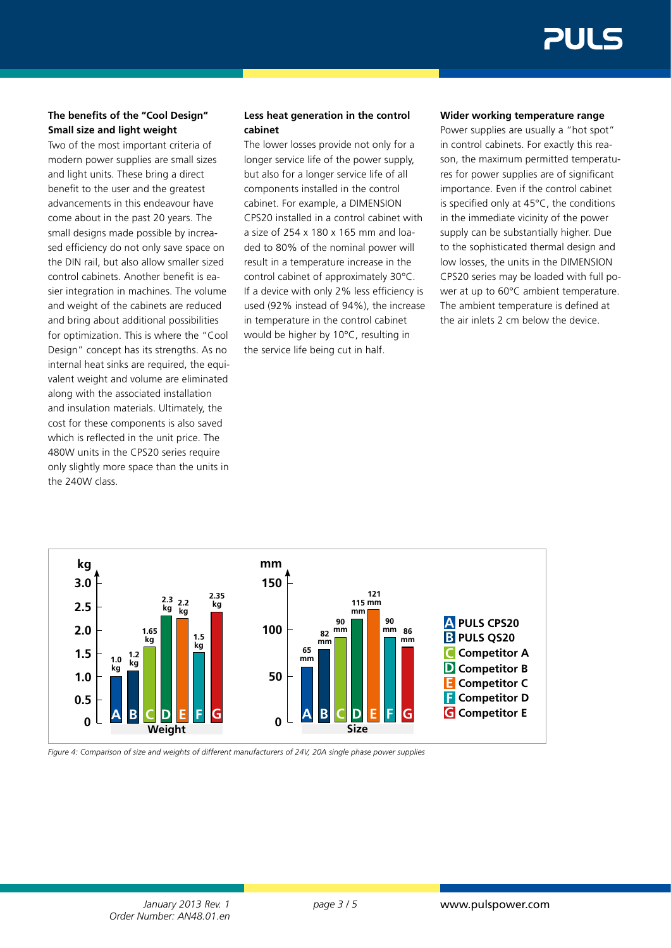# **The benefits of the "Cool Design" Small size and light weight**

Two of the most important criteria of modern power supplies are small sizes and light units. These bring a direct benefit to the user and the greatest advancements in this endeavour have come about in the past 20 years. The small designs made possible by increased efficiency do not only save space on the DIN rail, but also allow smaller sized control cabinets. Another benefit is easier integration in machines. The volume and weight of the cabinets are reduced and bring about additional possibilities for optimization. This is where the "Cool Design" concept has its strengths. As no internal heat sinks are required, the equivalent weight and volume are eliminated along with the associated installation and insulation materials. Ultimately, the cost for these components is also saved which is reflected in the unit price. The 480W units in the CPS20 series require only slightly more space than the units in the 240W class.

# **Less heat generation in the control cabinet**

The lower losses provide not only for a longer service life of the power supply, but also for a longer service life of all components installed in the control cabinet. For example, a DIMENSION CPS20 installed in a control cabinet with a size of 254 x 180 x 165 mm and loaded to 80% of the nominal power will result in a temperature increase in the control cabinet of approximately 30°C. If a device with only 2% less efficiency is used (92% instead of 94%), the increase in temperature in the control cabinet would be higher by 10°C, resulting in the service life being cut in half.

#### **Wider working temperature range**

Power supplies are usually a "hot spot" in control cabinets. For exactly this reason, the maximum permitted temperatures for power supplies are of significant importance. Even if the control cabinet is specified only at 45°C, the conditions in the immediate vicinity of the power supply can be substantially higher. Due to the sophisticated thermal design and low losses, the units in the DIMENSION CPS20 series may be loaded with full power at up to 60°C ambient temperature. The ambient temperature is defined at the air inlets 2 cm below the device.



*Figure 4: Comparison of size and weights of different manufacturers of 24V, 20A single phase power supplies*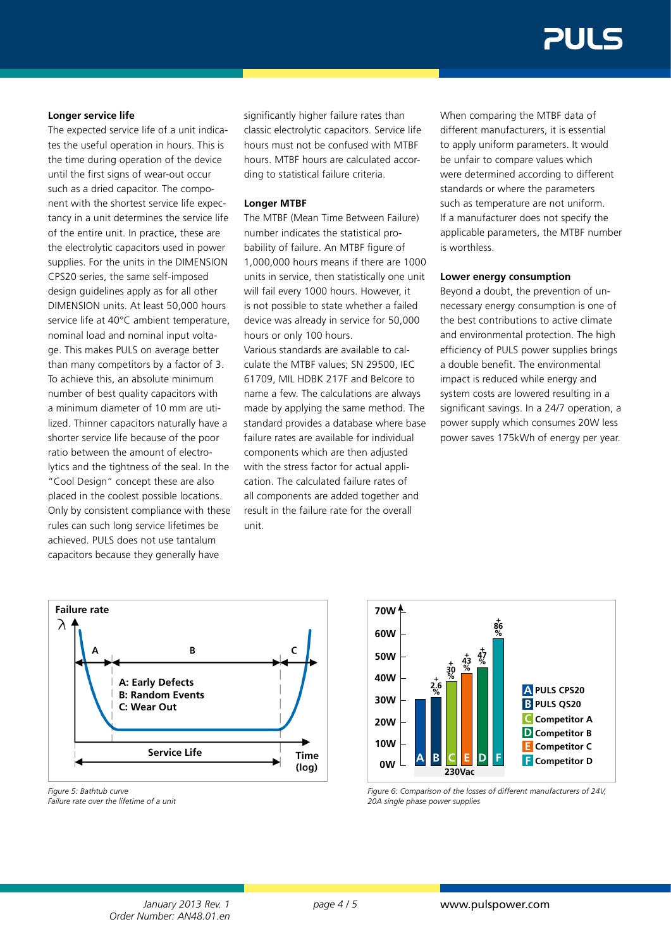#### **Longer service life**

The expected service life of a unit indicates the useful operation in hours. This is the time during operation of the device until the first signs of wear-out occur such as a dried capacitor. The component with the shortest service life expectancy in a unit determines the service life of the entire unit. In practice, these are the electrolytic capacitors used in power supplies. For the units in the DIMENSION CPS20 series, the same self-imposed design guidelines apply as for all other DIMENSION units. At least 50,000 hours service life at 40°C ambient temperature, nominal load and nominal input voltage. This makes PULS on average better than many competitors by a factor of 3. To achieve this, an absolute minimum number of best quality capacitors with a minimum diameter of 10 mm are utilized. Thinner capacitors naturally have a shorter service life because of the poor ratio between the amount of electrolytics and the tightness of the seal. In the "Cool Design" concept these are also placed in the coolest possible locations. Only by consistent compliance with these rules can such long service lifetimes be achieved. PULS does not use tantalum capacitors because they generally have

significantly higher failure rates than classic electrolytic capacitors. Service life hours must not be confused with MTBF hours. MTBF hours are calculated according to statistical failure criteria.

#### **Longer MTBF**

The MTBF (Mean Time Between Failure) number indicates the statistical probability of failure. An MTBF figure of 1,000,000 hours means if there are 1000 units in service, then statistically one unit will fail every 1000 hours. However, it is not possible to state whether a failed device was already in service for 50,000 hours or only 100 hours. Various standards are available to calculate the MTBF values; SN 29500, IEC 61709, MIL HDBK 217F and Belcore to name a few. The calculations are always made by applying the same method. The standard provides a database where base failure rates are available for individual components which are then adjusted with the stress factor for actual application. The calculated failure rates of all components are added together and result in the failure rate for the overall unit.

When comparing the MTBF data of different manufacturers, it is essential to apply uniform parameters. It would be unfair to compare values which were determined according to different standards or where the parameters such as temperature are not uniform. If a manufacturer does not specify the applicable parameters, the MTBF number is worthless.

#### **Lower energy consumption**

Beyond a doubt, the prevention of unnecessary energy consumption is one of the best contributions to active climate and environmental protection. The high efficiency of PULS power supplies brings a double benefit. The environmental impact is reduced while energy and system costs are lowered resulting in a significant savings. In a 24/7 operation, a power supply which consumes 20W less power saves 175kWh of energy per year.



*Figure 5: Bathtub curve Failure rate over the lifetime of a unit*



*Figure 6: Comparison of the losses of different manufacturers of 24V, 20A single phase power supplies*